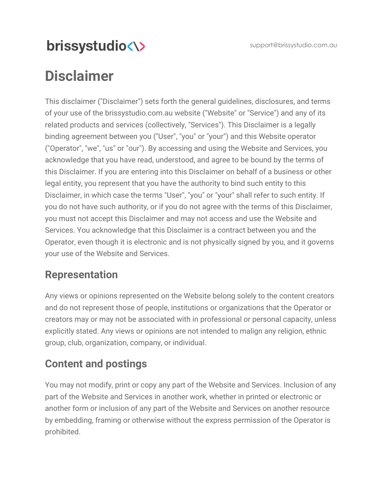support@brissystudio.com.au

# brissystudio<\>

# **Disclaimer**

This disclaimer ("Disclaimer") sets forth the general guidelines, disclosures, and terms of your use of the [brissystudio.com.au](http://www.brissystudio.com.au/) website ("Website" or "Service") and any of its related products and services (collectively, "Services"). This Disclaimer is a legally binding agreement between you ("User", "you" or "your") and this Website operator ("Operator", "we", "us" or "our"). By accessing and using the Website and Services, you acknowledge that you have read, understood, and agree to be bound by the terms of this Disclaimer. If you are entering into this Disclaimer on behalf of a business or other legal entity, you represent that you have the authority to bind such entity to this Disclaimer, in which case the terms "User", "you" or "your" shall refer to such entity. If you do not have such authority, or if you do not agree with the terms of this Disclaimer, you must not accept this Disclaimer and may not access and use the Website and Services. You acknowledge that this Disclaimer is a contract between you and the Operator, even though it is electronic and is not physically signed by you, and it governs your use of the Website and Services.

### **Representation**

Any views or opinions represented on the Website belong solely to the content creators and do not represent those of people, institutions or organizations that the Operator or creators may or may not be associated with in professional or personal capacity, unless explicitly stated. Any views or opinions are not intended to malign any religion, ethnic group, club, organization, company, or individual.

### **Content and postings**

You may not modify, print or copy any part of the Website and Services. Inclusion of any part of the Website and Services in another work, whether in printed or electronic or another form or inclusion of any part of the Website and Services on another resource by embedding, framing or otherwise without the express permission of the Operator is prohibited.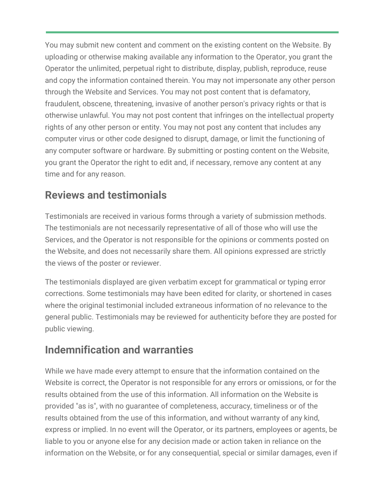You may submit new content and comment on the existing content on the Website. By uploading or otherwise making available any information to the Operator, you grant the Operator the unlimited, perpetual right to distribute, display, publish, reproduce, reuse and copy the information contained therein. You may not impersonate any other person through the Website and Services. You may not post content that is defamatory, fraudulent, obscene, threatening, invasive of another person's privacy rights or that is otherwise unlawful. You may not post content that infringes on the intellectual property rights of any other person or entity. You may not post any content that includes any computer virus or other code designed to disrupt, damage, or limit the functioning of any computer software or hardware. By submitting or posting content on the Website, you grant the Operator the right to edit and, if necessary, remove any content at any time and for any reason.

#### **Reviews and testimonials**

Testimonials are received in various forms through a variety of submission methods. The testimonials are not necessarily representative of all of those who will use the Services, and the Operator is not responsible for the opinions or comments posted on the Website, and does not necessarily share them. All opinions expressed are strictly the views of the poster or reviewer.

The testimonials displayed are given verbatim except for grammatical or typing error corrections. Some testimonials may have been edited for clarity, or shortened in cases where the original testimonial included extraneous information of no relevance to the general public. Testimonials may be reviewed for authenticity before they are posted for public viewing.

#### **Indemnification and warranties**

While we have made every attempt to ensure that the information contained on the Website is correct, the Operator is not responsible for any errors or omissions, or for the results obtained from the use of this information. All information on the Website is provided "as is", with no guarantee of completeness, accuracy, timeliness or of the results obtained from the use of this information, and without warranty of any kind, express or implied. In no event will the Operator, or its partners, employees or agents, be liable to you or anyone else for any decision made or action taken in reliance on the information on the Website, or for any consequential, special or similar damages, even if